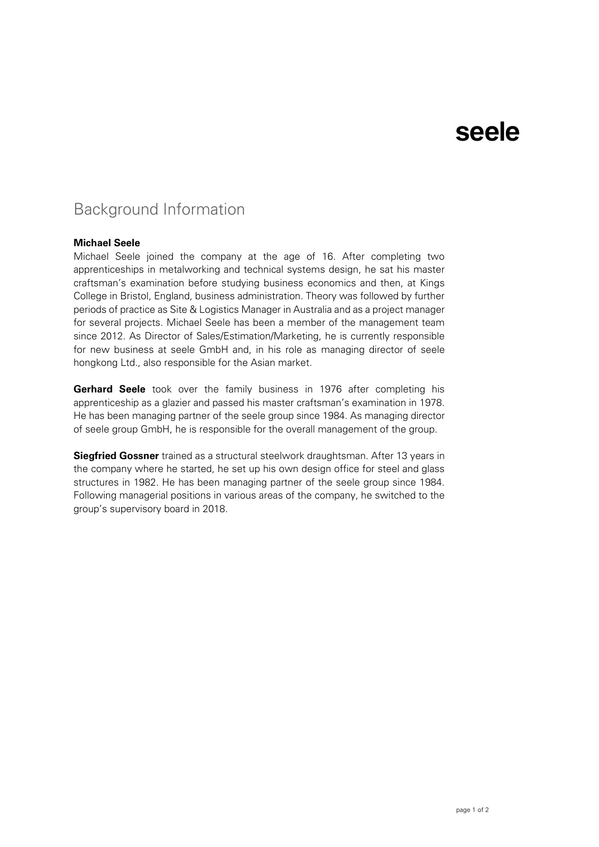# seele

### Background Information

### **Michael Seele**

Michael Seele joined the company at the age of 16. After completing two apprenticeships in metalworking and technical systems design, he sat his master craftsman's examination before studying business economics and then, at Kings College in Bristol, England, business administration. Theory was followed by further periods of practice as Site & Logistics Manager in Australia and as a project manager for several projects. Michael Seele has been a member of the management team since 2012. As Director of Sales/Estimation/Marketing, he is currently responsible for new business at seele GmbH and, in his role as managing director of seele hongkong Ltd., also responsible for the Asian market.

**Gerhard Seele** took over the family business in 1976 after completing his apprenticeship as a glazier and passed his master craftsman's examination in 1978. He has been managing partner of the seele group since 1984. As managing director of seele group GmbH, he is responsible for the overall management of the group.

**Siegfried Gossner** trained as a structural steelwork draughtsman. After 13 years in the company where he started, he set up his own design office for steel and glass structures in 1982. He has been managing partner of the seele group since 1984. Following managerial positions in various areas of the company, he switched to the group's supervisory board in 2018.